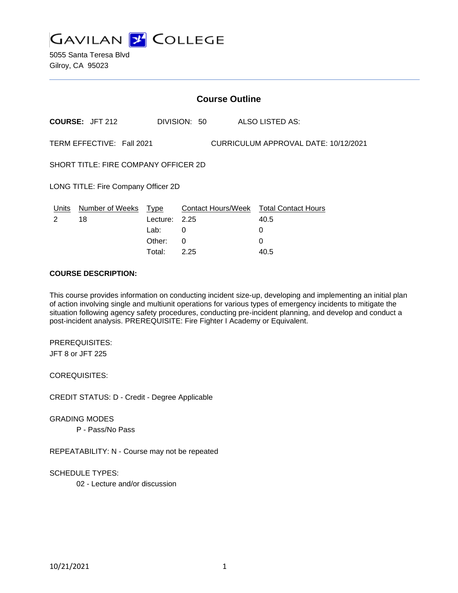**GAVILAN J COLLEGE** 

5055 Santa Teresa Blvd Gilroy, CA 95023

| <b>Course Outline</b>                                             |                        |                  |          |              |  |                                                |
|-------------------------------------------------------------------|------------------------|------------------|----------|--------------|--|------------------------------------------------|
|                                                                   | <b>COURSE: JFT 212</b> |                  |          | DIVISION: 50 |  | ALSO LISTED AS:                                |
| TERM EFFECTIVE: Fall 2021<br>CURRICULUM APPROVAL DATE: 10/12/2021 |                        |                  |          |              |  |                                                |
| SHORT TITLE: FIRE COMPANY OFFICER 2D                              |                        |                  |          |              |  |                                                |
| LONG TITLE: Fire Company Officer 2D                               |                        |                  |          |              |  |                                                |
| Units<br>2                                                        | Number of Weeks<br>18  | Type<br>Lecture: | 2.25     |              |  | Contact Hours/Week Total Contact Hours<br>40.5 |
|                                                                   |                        | Lab:             | 0        |              |  | 0                                              |
|                                                                   |                        | Other:           | $\Omega$ |              |  | 0                                              |
|                                                                   |                        | Total:           | 2.25     |              |  | 40.5                                           |

#### **COURSE DESCRIPTION:**

This course provides information on conducting incident size-up, developing and implementing an initial plan of action involving single and multiunit operations for various types of emergency incidents to mitigate the situation following agency safety procedures, conducting pre-incident planning, and develop and conduct a post-incident analysis. PREREQUISITE: Fire Fighter I Academy or Equivalent.

PREREQUISITES: JFT 8 or JFT 225

COREQUISITES:

CREDIT STATUS: D - Credit - Degree Applicable

GRADING MODES

P - Pass/No Pass

REPEATABILITY: N - Course may not be repeated

SCHEDULE TYPES:

02 - Lecture and/or discussion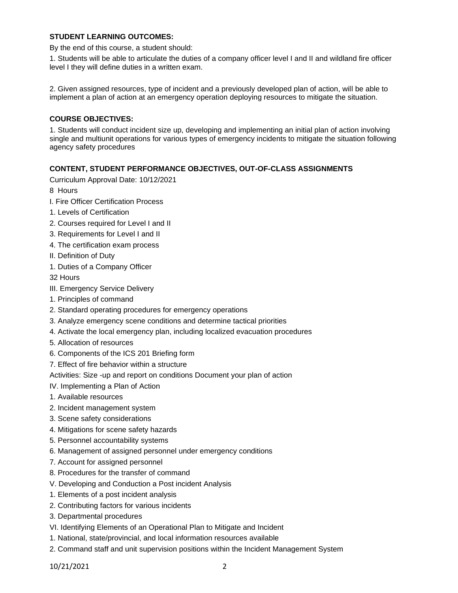### **STUDENT LEARNING OUTCOMES:**

By the end of this course, a student should:

1. Students will be able to articulate the duties of a company officer level I and II and wildland fire officer level I they will define duties in a written exam.

2. Given assigned resources, type of incident and a previously developed plan of action, will be able to implement a plan of action at an emergency operation deploying resources to mitigate the situation.

### **COURSE OBJECTIVES:**

1. Students will conduct incident size up, developing and implementing an initial plan of action involving single and multiunit operations for various types of emergency incidents to mitigate the situation following agency safety procedures

#### **CONTENT, STUDENT PERFORMANCE OBJECTIVES, OUT-OF-CLASS ASSIGNMENTS**

Curriculum Approval Date: 10/12/2021

8 Hours

- I. Fire Officer Certification Process
- 1. Levels of Certification
- 2. Courses required for Level I and II
- 3. Requirements for Level I and II
- 4. The certification exam process
- II. Definition of Duty
- 1. Duties of a Company Officer

32 Hours

- III. Emergency Service Delivery
- 1. Principles of command
- 2. Standard operating procedures for emergency operations
- 3. Analyze emergency scene conditions and determine tactical priorities
- 4. Activate the local emergency plan, including localized evacuation procedures
- 5. Allocation of resources
- 6. Components of the ICS 201 Briefing form
- 7. Effect of fire behavior within a structure

Activities: Size -up and report on conditions Document your plan of action

- IV. Implementing a Plan of Action
- 1. Available resources
- 2. Incident management system
- 3. Scene safety considerations
- 4. Mitigations for scene safety hazards
- 5. Personnel accountability systems
- 6. Management of assigned personnel under emergency conditions
- 7. Account for assigned personnel
- 8. Procedures for the transfer of command
- V. Developing and Conduction a Post incident Analysis
- 1. Elements of a post incident analysis
- 2. Contributing factors for various incidents
- 3. Departmental procedures
- VI. Identifying Elements of an Operational Plan to Mitigate and Incident
- 1. National, state/provincial, and local information resources available
- 2. Command staff and unit supervision positions within the Incident Management System

10/21/2021 2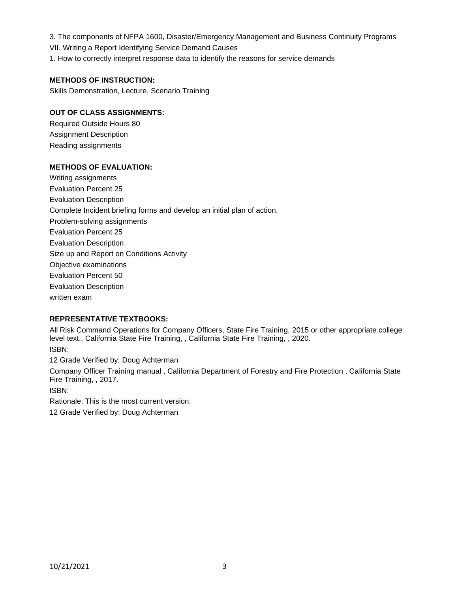3. The components of NFPA 1600, Disaster/Emergency Management and Business Continuity Programs

VII. Writing a Report Identifying Service Demand Causes

1. How to correctly interpret response data to identify the reasons for service demands

# **METHODS OF INSTRUCTION:**

Skills Demonstration, Lecture, Scenario Training

## **OUT OF CLASS ASSIGNMENTS:**

Required Outside Hours 80 Assignment Description Reading assignments

## **METHODS OF EVALUATION:**

Writing assignments Evaluation Percent 25 Evaluation Description Complete Incident briefing forms and develop an initial plan of action. Problem-solving assignments Evaluation Percent 25 Evaluation Description Size up and Report on Conditions Activity Objective examinations Evaluation Percent 50 Evaluation Description written exam

# **REPRESENTATIVE TEXTBOOKS:**

All Risk Command Operations for Company Officers, State Fire Training, 2015 or other appropriate college level text., California State Fire Training, , California State Fire Training, , 2020.

ISBN:

12 Grade Verified by: Doug Achterman

Company Officer Training manual , California Department of Forestry and Fire Protection , California State Fire Training, , 2017.

ISBN:

Rationale: This is the most current version.

12 Grade Verified by: Doug Achterman